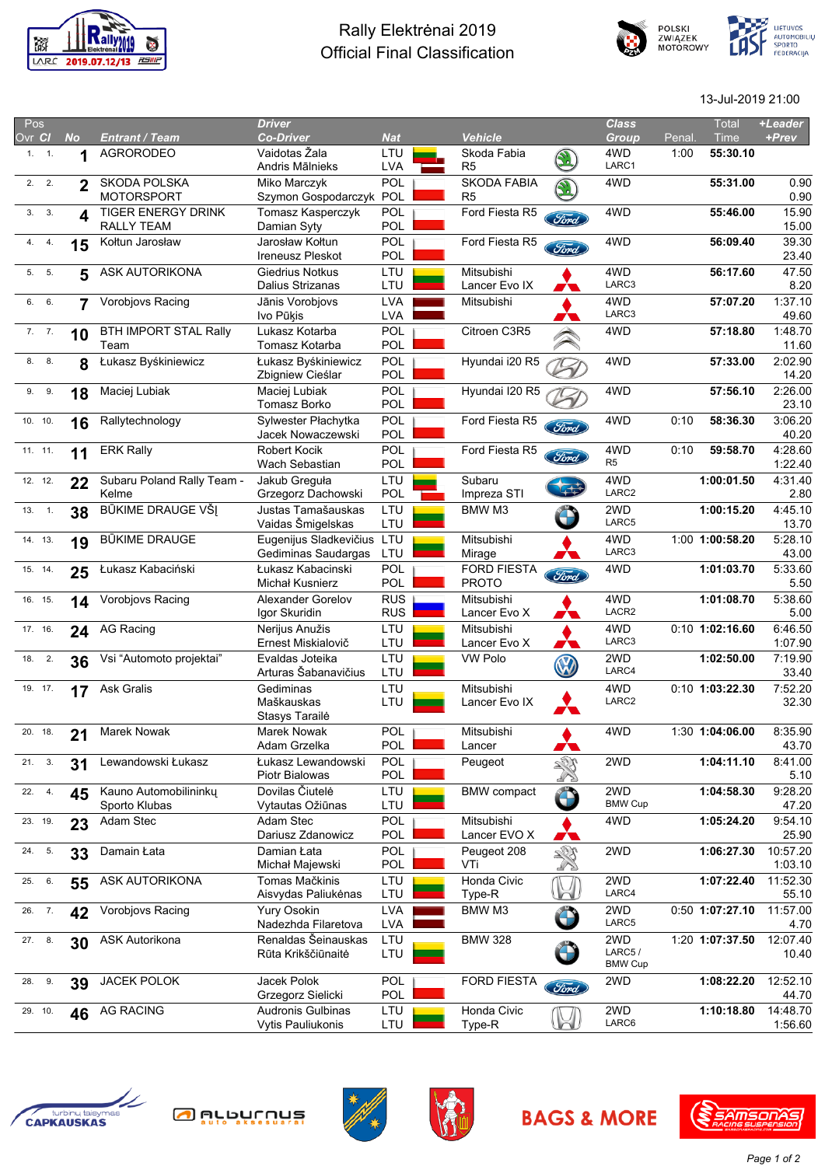

## Rally Elektrėnai 2019 Official Final Classification





13-Jul-2019 21:00

| Pos     |           |                                         | <b>Driver</b>                                        |                          |                                      |                    | <b>Class</b>                    |       | <b>Total</b>      | +Leader             |
|---------|-----------|-----------------------------------------|------------------------------------------------------|--------------------------|--------------------------------------|--------------------|---------------------------------|-------|-------------------|---------------------|
| Ovr Cl  | <b>No</b> | <b>Entrant / Team</b>                   | <b>Co-Driver</b>                                     | <b>Nat</b>               | <b>Vehicle</b>                       |                    | Group                           | Penal | Time              | +Prev               |
| 1.1.1   | 1         | <b>AGRORODEO</b>                        | Vaidotas Žala<br>Andris Mālnieks                     | LTU<br><b>LVA</b>        | Skoda Fabia<br>R <sub>5</sub>        |                    | 4WD<br>LARC1                    | 1:00  | 55:30.10          |                     |
| 2.2.    | 2         | SKODA POLSKA<br><b>MOTORSPORT</b>       | Miko Marczyk<br>Szymon Gospodarczyk                  | <b>POL</b><br>POL        | <b>SKODA FABIA</b><br>R <sub>5</sub> |                    | 4WD                             |       | 55:31.00          | 0.90<br>0.90        |
| 3.3.    | 4         | <b>TIGER ENERGY DRINK</b><br>RALLY TEAM | Tomasz Kasperczyk<br>Damian Syty                     | <b>POL</b><br><b>POL</b> | Ford Fiesta R5                       | Ford               | 4WD                             |       | 55:46.00          | 15.90<br>15.00      |
| 4. 4.   | 15        | Kołtun Jarosław                         | Jarosław Kołtun<br><b>Ireneusz Pleskot</b>           | <b>POL</b><br><b>POL</b> | Ford Fiesta R5                       | Ford               | 4WD                             |       | 56:09.40          | 39.30<br>23.40      |
| 5. 5.   | 5         | ASK AUTORIKONA                          | Giedrius Notkus<br>Dalius Strizanas                  | LTU<br>LTU               | Mitsubishi<br>Lancer Evo IX          | 79                 | 4WD<br>LARC3                    |       | 56:17.60          | 47.50<br>8.20       |
| 6. 6.   | 7         | Vorobjovs Racing                        | Jānis Vorobiovs<br>Ivo Pūkis                         | <b>LVA</b><br><b>LVA</b> | Mitsubishi                           |                    | 4WD<br>LARC3                    |       | 57:07.20          | 1:37.10<br>49.60    |
| 7.7.    | 10        | <b>BTH IMPORT STAL Rally</b><br>Team    | Lukasz Kotarba<br>Tomasz Kotarba                     | POL<br>POL               | Citroen C3R5                         |                    | 4WD                             |       | 57:18.80          | 1:48.70<br>11.60    |
| 8. 8.   | 8         | Łukasz Byśkiniewicz                     | Łukasz Byśkiniewicz<br>Zbigniew Cieślar              | POL<br><b>POL</b>        | Hyundai i20 R5                       |                    | 4WD                             |       | 57:33.00          | 2:02.90<br>14.20    |
| 9. 9.   | 18        | Maciej Lubiak                           | Maciej Lubiak<br>Tomasz Borko                        | <b>POL</b><br><b>POL</b> | Hyundai I20 R5                       |                    | 4WD                             |       | 57:56.10          | 2:26.00<br>23.10    |
| 10.10.  | 16        | Rallytechnology                         | Sylwester Płachytka<br>Jacek Nowaczewski             | POL<br>POL               | Ford Fiesta R5                       | Ford               | 4WD                             | 0:10  | 58:36.30          | 3:06.20<br>40.20    |
| 11. 11. | 11        | <b>ERK Rally</b>                        | <b>Robert Kocik</b><br>Wach Sebastian                | POL<br>POL               | Ford Fiesta R5                       | Ford               | 4WD<br>R5                       | 0:10  | 59:58.70          | 4:28.60<br>1:22.40  |
| 12. 12. | 22        | Subaru Poland Rally Team -<br>Kelme     | Jakub Greguła<br>Grzegorz Dachowski                  | LTU<br>POL               | Subaru<br>Impreza STI                |                    | 4WD<br>LARC2                    |       | 1:00:01.50        | 4:31.40<br>2.80     |
| 13. 1.  | 38        | BŪKIME DRAUGE VŠĮ                       | Justas Tamašauskas<br>Vaidas Šmigelskas              | LTU<br>LTU               | BMW M3                               | $\hat{\mathbf{C}}$ | 2WD<br>LARC5                    |       | 1:00:15.20        | 4:45.10<br>13.70    |
| 14. 13. | 19        | <b>BŪKIME DRAUGE</b>                    | Eugenijus Sladkevičius<br>Gediminas Saudargas        | LTU<br>LTU               | Mitsubishi<br>Mirage                 | W                  | 4WD<br>LARC3                    |       | 1:00 1:00:58.20   | 5:28.10<br>43.00    |
| 15. 14. | 25        | Łukasz Kabaciński                       | Łukasz Kabacinski<br>Michał Kusnierz                 | <b>POL</b><br><b>POL</b> | <b>FORD FIESTA</b><br><b>PROTO</b>   | Ford               | 4WD                             |       | 1:01:03.70        | 5:33.60<br>5.50     |
| 16. 15. | 14        | Vorobjovs Racing                        | <b>Alexander Gorelov</b><br>Igor Skuridin            | <b>RUS</b><br><b>RUS</b> | Mitsubishi<br>Lancer Evo X           | W                  | 4WD<br>LACR2                    |       | 1:01:08.70        | 5:38.60<br>5.00     |
| 17. 16. | 24        | AG Racing                               | Nerijus Anužis<br>Ernest Miskialovič                 | LTU<br>LTU               | Mitsubishi<br>Lancer Evo X           | W                  | 4WD<br>LARC3                    |       | $0:10$ 1:02:16.60 | 6:46.50<br>1:07.90  |
| 18. 2.  | 36        | Vsi "Automoto projektai"                | Evaldas Joteika<br>Arturas Šabanavičius              | LTU<br>LTU               | <b>VW Polo</b>                       |                    | 2WD<br>LARC4                    |       | 1:02:50.00        | 7:19.90<br>33.40    |
| 19. 17. | 17        | <b>Ask Gralis</b>                       | Gediminas<br>Maškauskas<br>Stasys Tarailė            | LTU<br>LTU               | Mitsubishi<br>Lancer Evo IX          |                    | 4WD<br>LARC2                    |       | 0:10 1:03:22.30   | 7:52.20<br>32.30    |
| 20. 18. | 21        | Marek Nowak                             | Marek Nowak<br>Adam Grzelka                          | POL<br>POL               | Mitsubishi<br>Lancer                 | 79                 | 4WD                             |       | 1:30 1:04:06.00   | 8:35.90<br>43.70    |
| 21. 3.  | 31        | Lewandowski Łukasz                      | Łukasz Lewandowski<br>Piotr Bialowas                 | POL<br>POL               | Peugeot                              |                    | 2WD                             |       | 1:04:11.10        | 8:41.00<br>5.10     |
| 22. 4.  | 45        | Kauno Automobilininkų<br>Sporto Klubas  | Dovilas Čiutelė<br>Vytautas Ožiūnas                  | LTU<br>LTU               | <b>BMW</b> compact                   | $\bigoplus$        | 2WD<br><b>BMW Cup</b>           |       | 1:04:58.30        | 9:28.20<br>47.20    |
| 23. 19. | 23        | Adam Stec                               | Adam Stec<br>Dariusz Zdanowicz                       | POL<br>POL               | Mitsubishi<br>Lancer EVO X           | 79                 | 4WD                             |       | 1:05:24.20        | 9:54.10<br>25.90    |
| 24. 5.  | 33        | Damain Łata                             | Damian Łata<br>Michał Majewski                       | POL<br>POL               | Peugeot 208<br>VTi                   | $\mathbb{Z}^3$     | 2WD                             |       | 1:06:27.30        | 10:57.20<br>1:03.10 |
| 25. 6.  | 55        | ASK AUTORIKONA                          | Tomas Mačkinis<br>Aisvydas Paliukėnas                | LTU<br>LTU               | Honda Civic<br>Type-R                | $\sim$             | 2WD<br>LARC4                    |       | 1:07:22.40        | 11:52.30<br>55.10   |
| 26. 7.  | 42        | Vorobjovs Racing                        | Yury Osokin<br>Nadezhda Filaretova                   | <b>LVA</b><br><b>LVA</b> | BMW M3                               | $\bigcap$          | 2WD<br>LARC5                    |       | 0:50 1:07:27.10   | 11:57.00<br>4.70    |
| 27. 8.  | 30        | ASK Autorikona                          | Renaldas Šeinauskas<br>Rūta Krikščiūnaitė            | LTU<br>LTU               | <b>BMW 328</b>                       |                    | 2WD<br>LARC5/<br><b>BMW Cup</b> |       | 1:20 1:07:37.50   | 12:07.40<br>10.40   |
| 28. 9.  | 39        | JACEK POLOK                             | Jacek Polok<br>Grzegorz Sielicki                     | <b>POL</b><br>POL        | <b>FORD FIESTA</b>                   | Ford               | 2WD                             |       | 1:08:22.20        | 12:52.10<br>44.70   |
| 29. 10. | 46        | <b>AG RACING</b>                        | <b>Audronis Gulbinas</b><br><b>Vytis Pauliukonis</b> | LTU<br>LTU               | Honda Civic<br>Type-R                | KU                 | 2WD<br>LARC6                    |       | 1:10:18.80        | 14:48.70<br>1:56.60 |
|         |           |                                         |                                                      |                          |                                      |                    |                                 |       |                   |                     |









**BAGS & MORE**